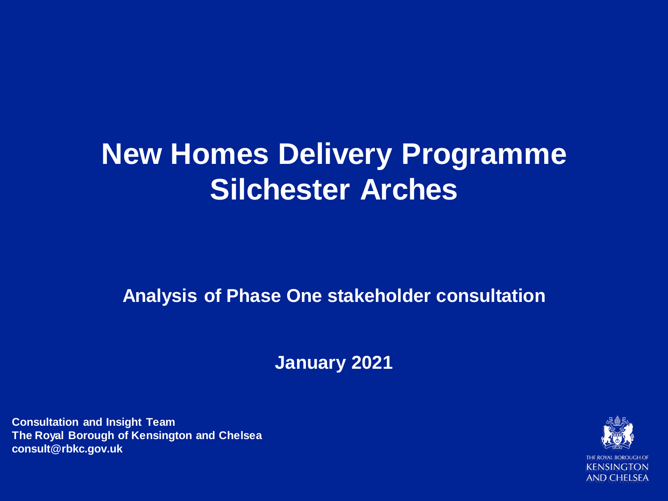## **New Homes Delivery Programme Silchester Arches**

**Analysis of Phase One stakeholder consultation**

**January 2021**

**Consultation and Insight Team The Royal Borough of Kensington and Chelsea consult@rbkc.gov.uk**

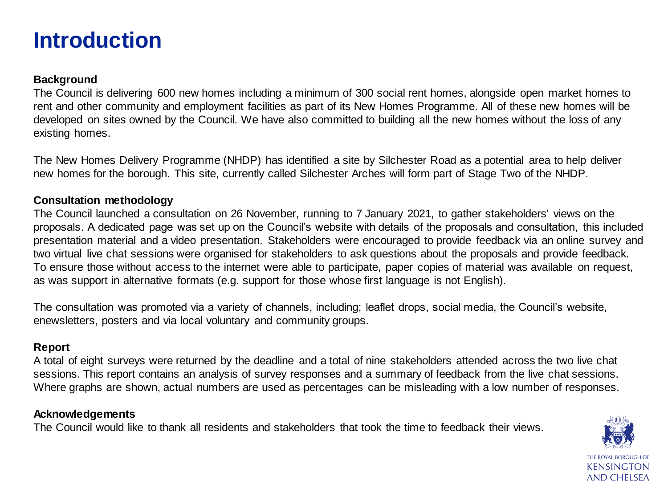#### **Introduction**

#### **Background**

The Council is delivering 600 new homes including a minimum of 300 social rent homes, alongside open market homes to rent and other community and employment facilities as part of its New Homes Programme. All of these new homes will be developed on sites owned by the Council. We have also committed to building all the new homes without the loss of any existing homes.

The New Homes Delivery Programme (NHDP) has identified a site by Silchester Road as a potential area to help deliver new homes for the borough. This site, currently called Silchester Arches will form part of Stage Two of the NHDP.

#### **Consultation methodology**

The Council launched a consultation on 26 November, running to 7 January 2021, to gather stakeholders' views on the proposals. A dedicated page was set up on the Council's website with details of the proposals and consultation, this included presentation material and a video presentation. Stakeholders were encouraged to provide feedback via an online survey and two virtual live chat sessions were organised for stakeholders to ask questions about the proposals and provide feedback. To ensure those without access to the internet were able to participate, paper copies of material was available on request, as was support in alternative formats (e.g. support for those whose first language is not English).

The consultation was promoted via a variety of channels, including; leaflet drops, social media, the Council's website, enewsletters, posters and via local voluntary and community groups.

#### **Report**

A total of eight surveys were returned by the deadline and a total of nine stakeholders attended across the two live chat sessions. This report contains an analysis of survey responses and a summary of feedback from the live chat sessions. Where graphs are shown, actual numbers are used as percentages can be misleading with a low number of responses.

#### **Acknowledgements**

The Council would like to thank all residents and stakeholders that took the time to feedback their views.

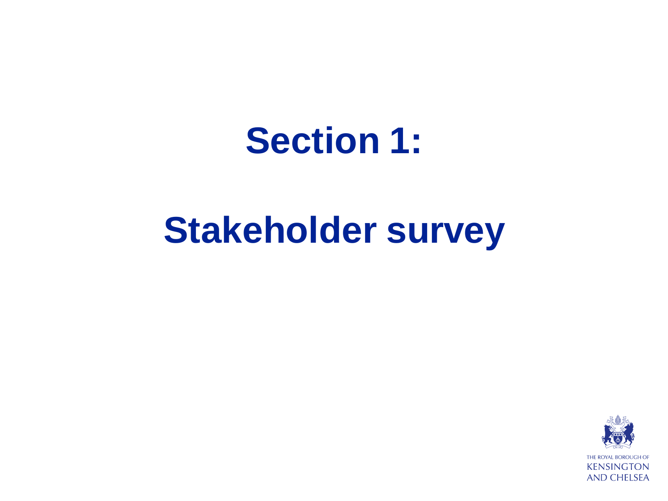## **Section 1:**

## **Stakeholder survey**

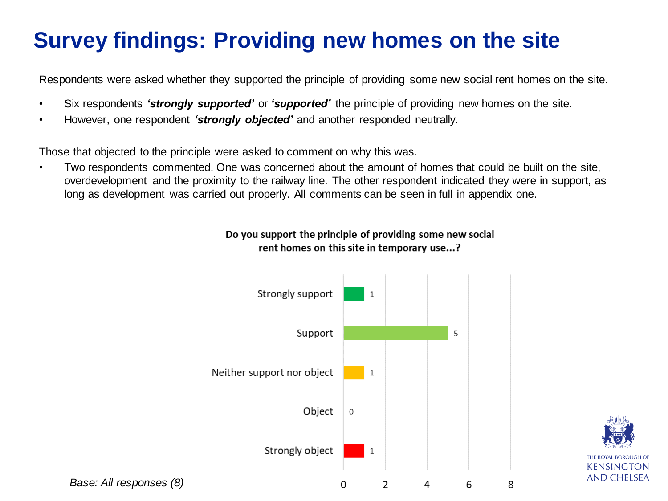### **Survey findings: Providing new homes on the site**

Respondents were asked whether they supported the principle of providing some new social rent homes on the site.

- Six respondents *'strongly supported'* or *'supported'* the principle of providing new homes on the site.
- However, one respondent *'strongly objected'* and another responded neutrally.

Those that objected to the principle were asked to comment on why this was.

• Two respondents commented. One was concerned about the amount of homes that could be built on the site, overdevelopment and the proximity to the railway line. The other respondent indicated they were in support, as long as development was carried out properly. All comments can be seen in full in appendix one.





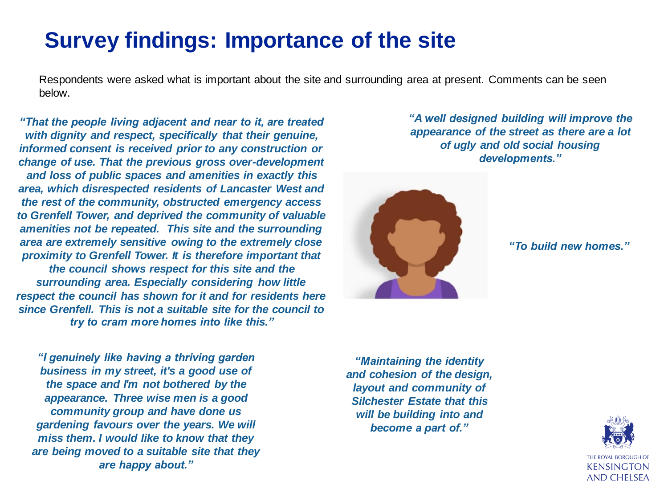#### **Survey findings: Importance of the site**

Respondents were asked what is important about the site and surrounding area at present. Comments can be seen below.

*"That the people living adjacent and near to it, are treated with dignity and respect, specifically that their genuine, informed consent is received prior to any construction or change of use. That the previous gross over-development and loss of public spaces and amenities in exactly this area, which disrespected residents of Lancaster West and the rest of the community, obstructed emergency access to Grenfell Tower, and deprived the community of valuable amenities not be repeated. This site and the surrounding area are extremely sensitive owing to the extremely close proximity to Grenfell Tower. It is therefore important that the council shows respect for this site and the surrounding area. Especially considering how little respect the council has shown for it and for residents here since Grenfell. This is not a suitable site for the council to try to cram more homes into like this."*

*"I genuinely like having a thriving garden business in my street, it's a good use of the space and I'm not bothered by the appearance. Three wise men is a good community group and have done us gardening favours over the years. We will miss them. I would like to know that they are being moved to a suitable site that they are happy about."*

*"A well designed building will improve the appearance of the street as there are a lot of ugly and old social housing developments."*



*"To build new homes."*

*"Maintaining the identity and cohesion of the design, layout and community of Silchester Estate that this will be building into and become a part of."*

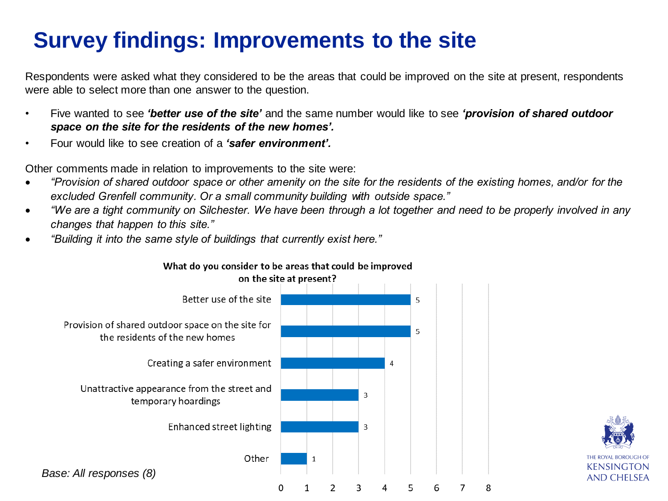## **Survey findings: Improvements to the site**

Respondents were asked what they considered to be the areas that could be improved on the site at present, respondents were able to select more than one answer to the question.

- Five wanted to see *'better use of the site'* and the same number would like to see *'provision of shared outdoor space on the site for the residents of the new homes'.*
- Four would like to see creation of a *'safer environment'.*

Other comments made in relation to improvements to the site were:

- *"Provision of shared outdoor space or other amenity on the site for the residents of the existing homes, and/or for the excluded Grenfell community. Or a small community building with outside space."*
- *"We are a tight community on Silchester. We have been through a lot together and need to be properly involved in any changes that happen to this site."*
- *"Building it into the same style of buildings that currently exist here."*



#### What do you consider to be areas that could be improved

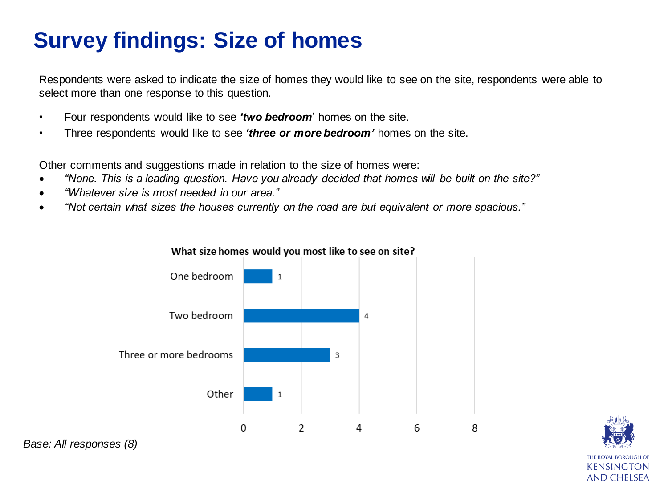## **Survey findings: Size of homes**

Respondents were asked to indicate the size of homes they would like to see on the site, respondents were able to select more than one response to this question.

- Four respondents would like to see *'two bedroom*' homes on the site.
- Three respondents would like to see *'three or more bedroom'* homes on the site.

Other comments and suggestions made in relation to the size of homes were:

- *"None. This is a leading question. Have you already decided that homes will be built on the site?"*
- *"Whatever size is most needed in our area."*
- *"Not certain what sizes the houses currently on the road are but equivalent or more spacious."*





*Base: All responses (8)*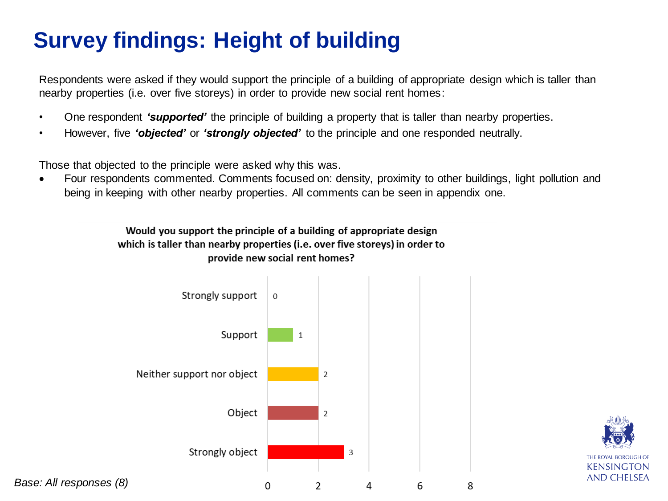## **Survey findings: Height of building**

Respondents were asked if they would support the principle of a building of appropriate design which is taller than nearby properties (i.e. over five storeys) in order to provide new social rent homes:

- One respondent *'supported'* the principle of building a property that is taller than nearby properties.
- However, five *'objected'* or *'strongly objected'* to the principle and one responded neutrally.

Those that objected to the principle were asked why this was.

• Four respondents commented. Comments focused on: density, proximity to other buildings, light pollution and being in keeping with other nearby properties. All comments can be seen in appendix one.

> Would you support the principle of a building of appropriate design which is taller than nearby properties (i.e. over five storeys) in order to provide new social rent homes?



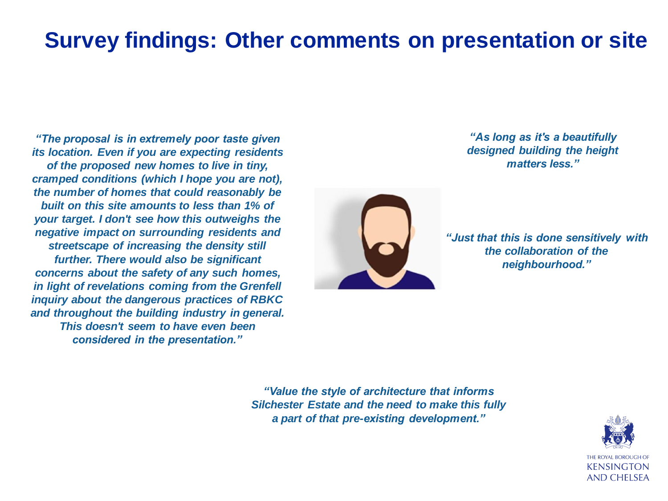### **Survey findings: Other comments on presentation or site**

*"The proposal is in extremely poor taste given its location. Even if you are expecting residents of the proposed new homes to live in tiny, cramped conditions (which I hope you are not), the number of homes that could reasonably be built on this site amounts to less than 1% of your target. I don't see how this outweighs the negative impact on surrounding residents and streetscape of increasing the density still further. There would also be significant concerns about the safety of any such homes, in light of revelations coming from the Grenfell inquiry about the dangerous practices of RBKC and throughout the building industry in general. This doesn't seem to have even been considered in the presentation."*



*"As long as it's a beautifully designed building the height matters less."*

*"Just that this is done sensitively with the collaboration of the neighbourhood."*

*"Value the style of architecture that informs Silchester Estate and the need to make this fully a part of that pre-existing development."*

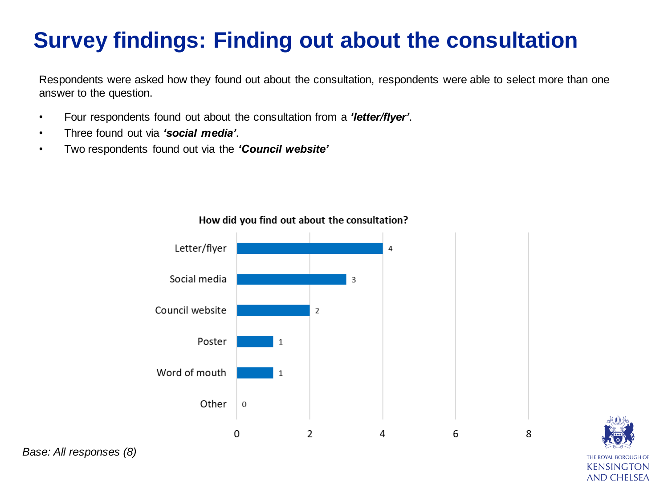## **Survey findings: Finding out about the consultation**

Respondents were asked how they found out about the consultation, respondents were able to select more than one answer to the question.

- Four respondents found out about the consultation from a *'letter/flyer'*.
- Three found out via *'social media'*.
- Two respondents found out via the *'Council website'*



KENSINGTON **AND CHELSEA** 

How did you find out about the consultation?

*Base: All responses (8)*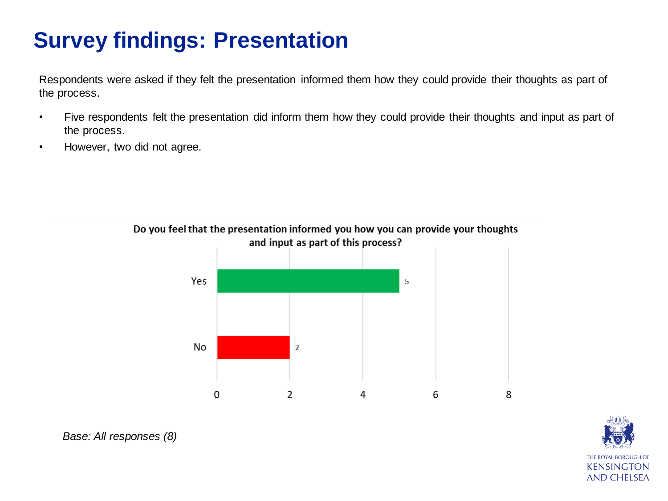## **Survey findings: Presentation**

Respondents were asked if they felt the presentation informed them how they could provide their thoughts as part of the process.

- Five respondents felt the presentation did inform them how they could provide their thoughts and input as part of the process.
- However, two did not agree.



Do you feel that the presentation informed you how you can provide your thoughts and input as part of this process?



*Base: All responses (8)*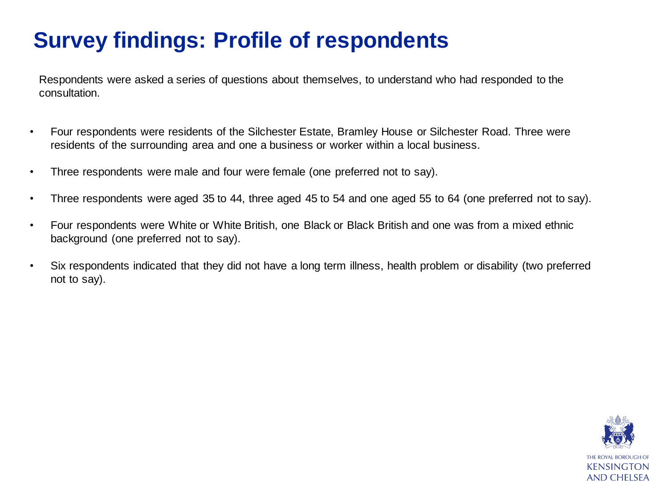### **Survey findings: Profile of respondents**

Respondents were asked a series of questions about themselves, to understand who had responded to the consultation.

- Four respondents were residents of the Silchester Estate, Bramley House or Silchester Road. Three were residents of the surrounding area and one a business or worker within a local business.
- Three respondents were male and four were female (one preferred not to say).
- Three respondents were aged 35 to 44, three aged 45 to 54 and one aged 55 to 64 (one preferred not to say).
- Four respondents were White or White British, one Black or Black British and one was from a mixed ethnic background (one preferred not to say).
- Six respondents indicated that they did not have a long term illness, health problem or disability (two preferred not to say).

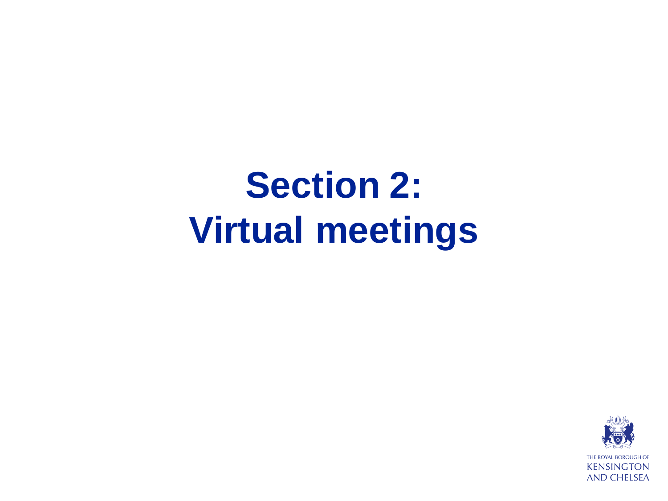# **Section 2: Virtual meetings**

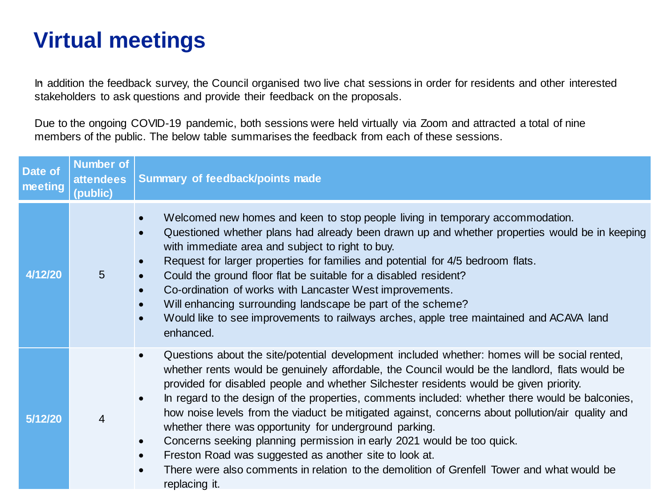### **Virtual meetings**

. In addition the feedback survey, the Council organised two live chat sessions in order for residents and other interested stakeholders to ask questions and provide their feedback on the proposals.

Due to the ongoing COVID-19 pandemic, both sessions were held virtually via Zoom and attracted a total of nine members of the public. The below table summarises the feedback from each of these sessions.

| Date of<br>meeting | <b>Number of</b><br><b>attendees</b><br>(public) | Summary of feedback/points made                                                                                                                                                                                                                                                                                                                                                                                                                                                                                                                                                                                                                                                                                                                                                                                                                      |
|--------------------|--------------------------------------------------|------------------------------------------------------------------------------------------------------------------------------------------------------------------------------------------------------------------------------------------------------------------------------------------------------------------------------------------------------------------------------------------------------------------------------------------------------------------------------------------------------------------------------------------------------------------------------------------------------------------------------------------------------------------------------------------------------------------------------------------------------------------------------------------------------------------------------------------------------|
| 4/12/20            | 5                                                | Welcomed new homes and keen to stop people living in temporary accommodation.<br>Questioned whether plans had already been drawn up and whether properties would be in keeping<br>with immediate area and subject to right to buy.<br>Request for larger properties for families and potential for 4/5 bedroom flats.<br>Could the ground floor flat be suitable for a disabled resident?<br>Co-ordination of works with Lancaster West improvements.<br>Will enhancing surrounding landscape be part of the scheme?<br>Would like to see improvements to railways arches, apple tree maintained and ACAVA land<br>enhanced.                                                                                                                                                                                                                         |
| 5/12/20            | 4                                                | Questions about the site/potential development included whether: homes will be social rented,<br>$\bullet$<br>whether rents would be genuinely affordable, the Council would be the landlord, flats would be<br>provided for disabled people and whether Silchester residents would be given priority.<br>In regard to the design of the properties, comments included: whether there would be balconies,<br>$\bullet$<br>how noise levels from the viaduct be mitigated against, concerns about pollution/air quality and<br>whether there was opportunity for underground parking.<br>Concerns seeking planning permission in early 2021 would be too quick.<br>$\bullet$<br>Freston Road was suggested as another site to look at.<br>There were also comments in relation to the demolition of Grenfell Tower and what would be<br>replacing it. |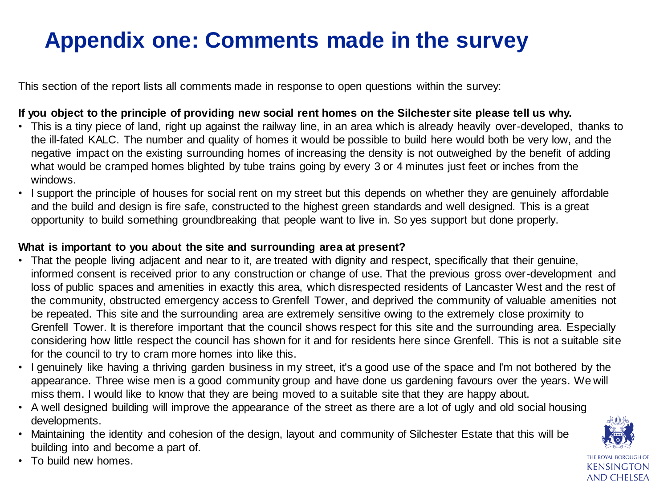### **Appendix one: Comments made in the survey**

This section of the report lists all comments made in response to open questions within the survey:

#### **If you object to the principle of providing new social rent homes on the Silchester site please tell us why.**

- This is a tiny piece of land, right up against the railway line, in an area which is already heavily over-developed, thanks to the ill-fated KALC. The number and quality of homes it would be possible to build here would both be very low, and the negative impact on the existing surrounding homes of increasing the density is not outweighed by the benefit of adding what would be cramped homes blighted by tube trains going by every 3 or 4 minutes just feet or inches from the windows.
- I support the principle of houses for social rent on my street but this depends on whether they are genuinely affordable and the build and design is fire safe, constructed to the highest green standards and well designed. This is a great opportunity to build something groundbreaking that people want to live in. So yes support but done properly.

#### **What is important to you about the site and surrounding area at present?**

- That the people living adjacent and near to it, are treated with dignity and respect, specifically that their genuine, informed consent is received prior to any construction or change of use. That the previous gross over-development and loss of public spaces and amenities in exactly this area, which disrespected residents of Lancaster West and the rest of the community, obstructed emergency access to Grenfell Tower, and deprived the community of valuable amenities not be repeated. This site and the surrounding area are extremely sensitive owing to the extremely close proximity to Grenfell Tower. It is therefore important that the council shows respect for this site and the surrounding area. Especially considering how little respect the council has shown for it and for residents here since Grenfell. This is not a suitable site for the council to try to cram more homes into like this.
- I genuinely like having a thriving garden business in my street, it's a good use of the space and I'm not bothered by the appearance. Three wise men is a good community group and have done us gardening favours over the years. We will miss them. I would like to know that they are being moved to a suitable site that they are happy about.
- A well designed building will improve the appearance of the street as there are a lot of ugly and old social housing developments.
- Maintaining the identity and cohesion of the design, layout and community of Silchester Estate that this will be building into and become a part of.



• To build new homes.